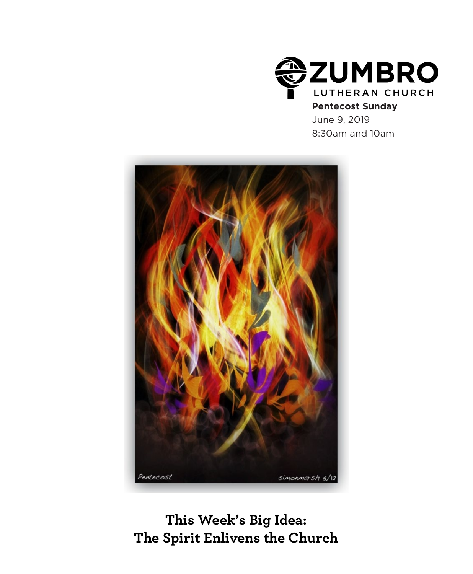

## **Pentecost Sunday**

June 9, 2019 8:30am and 10am



**This Week's Big Idea: The Spirit Enlivens the Church**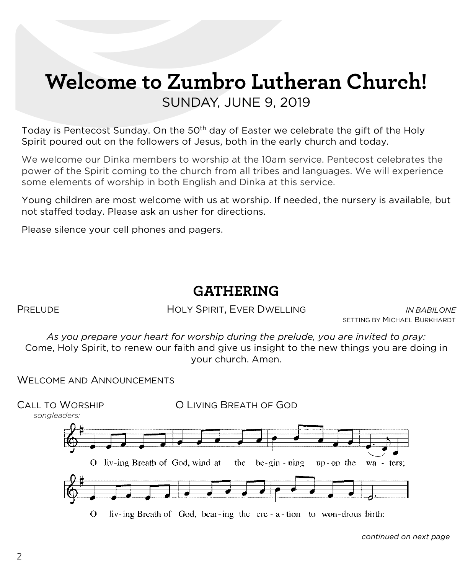# **Welcome to Zumbro Lutheran Church!** SUNDAY, JUNE 9, 2019

Today is Pentecost Sunday. On the 50<sup>th</sup> day of Easter we celebrate the gift of the Holy Spirit poured out on the followers of Jesus, both in the early church and today.

We welcome our Dinka members to worship at the 10am service. Pentecost celebrates the power of the Spirit coming to the church from all tribes and languages. We will experience some elements of worship in both English and Dinka at this service.

Young children are most welcome with us at worship. If needed, the nursery is available, but not staffed today. Please ask an usher for directions.

Please silence your cell phones and pagers.

# **GATHERING**

PRELUDE HOLY SPIRIT, EVER DWELLING *IN BABILONE*

SETTING BY MICHAEL BURKHARDT

*As you prepare your heart for worship during the prelude, you are invited to pray:* Come, Holy Spirit, to renew our faith and give us insight to the new things you are doing in your church. Amen.

WELCOME AND ANNOUNCEMENTS



*continued on next page*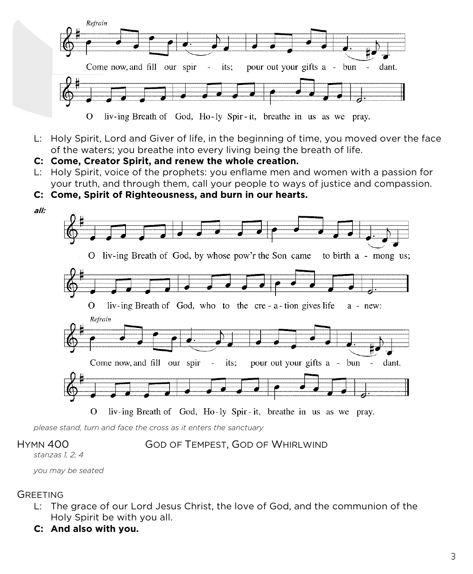

L: Holy Spirit, Lord and Giver of life, in the beginning of time, you moved over the face of the waters; you breathe into every living being the breath of life.

**C: Come, Creator Spirit, and renew the whole creation.**

- L: Holy Spirit, voice of the prophets: you enflame men and women with a passion for your truth, and through them, call your people to ways of justice and compassion.
- **C: Come, Spirit of Righteousness, and burn in our hearts.**



*please stand, turn and face the cross as it enters the sanctuary*

HYMN 400 GOD OF TEMPEST, GOD OF WHIRLWIND

*stanzas 1, 2, 4*

*you may be seated*

## **GREETING**

- L: The grace of our Lord Jesus Christ, the love of God, and the communion of the Holy Spirit be with you all.
- **C: And also with you.**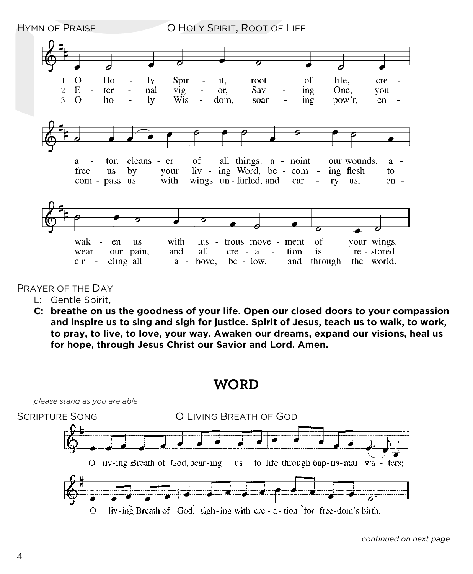

PRAYER OF THE DAY

- L: Gentle Spirit,
- **C: breathe on us the goodness of your life. Open our closed doors to your compassion and inspire us to sing and sigh for justice. Spirit of Jesus, teach us to walk, to work, to pray, to live, to love, your way. Awaken our dreams, expand our visions, heal us for hope, through Jesus Christ our Savior and Lord. Amen.**

**WORD**

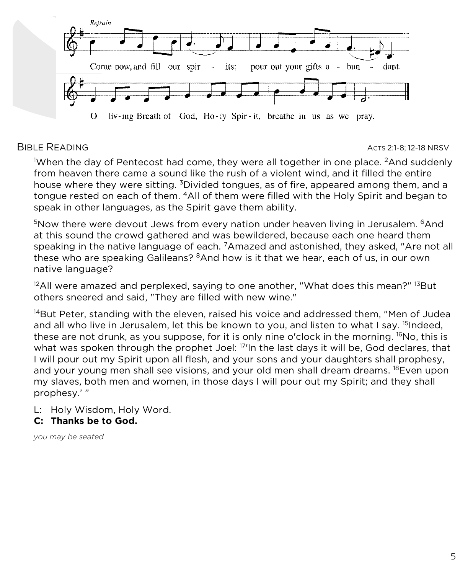

#### BIBLE READING ACTS 2:1-8; 12-18 NRSV

1 When the day of Pentecost had come, they were all together in one place. 2And suddenly from heaven there came a sound like the rush of a violent wind, and it filled the entire house where they were sitting. <sup>3</sup>Divided tongues, as of fire, appeared among them, and a tongue rested on each of them. 4All of them were filled with the Holy Spirit and began to speak in other languages, as the Spirit gave them ability.

 $5$ Now there were devout Jews from every nation under heaven living in Jerusalem.  $6$ And at this sound the crowd gathered and was bewildered, because each one heard them speaking in the native language of each. <sup>7</sup>Amazed and astonished, they asked, "Are not all these who are speaking Galileans? <sup>8</sup>And how is it that we hear, each of us, in our own native language?

 $12$ All were amazed and perplexed, saying to one another, "What does this mean?"  $13$ But others sneered and said, "They are filled with new wine."

 $14$ But Peter, standing with the eleven, raised his voice and addressed them, "Men of Judea and all who live in Jerusalem, let this be known to you, and listen to what I say.  $15$ Indeed, these are not drunk, as you suppose, for it is only nine o'clock in the morning. <sup>16</sup>No, this is what was spoken through the prophet Joel: <sup>17</sup>In the last days it will be, God declares, that I will pour out my Spirit upon all flesh, and your sons and your daughters shall prophesy, and your young men shall see visions, and your old men shall dream dreams. <sup>18</sup>Even upon my slaves, both men and women, in those days I will pour out my Spirit; and they shall prophesy.' "

L: Holy Wisdom, Holy Word.

**C: Thanks be to God.**

*you may be seated*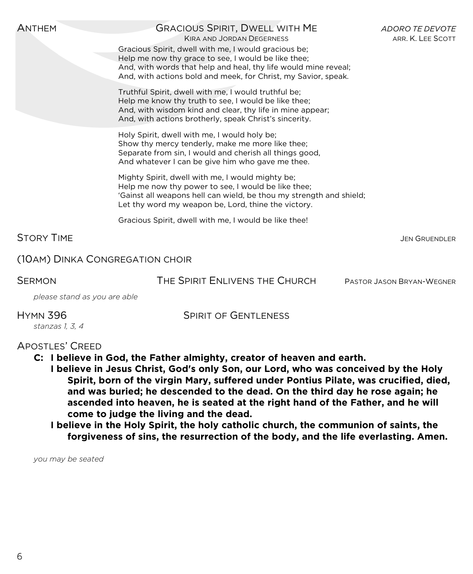| <b>ANTHEM</b>                   | <b>GRACIOUS SPIRIT, DWELL WITH ME</b><br><b>KIRA AND JORDAN DEGERNESS</b><br>Gracious Spirit, dwell with me, I would gracious be;<br>Help me now thy grace to see, I would be like thee;<br>And, with words that help and heal, thy life would mine reveal;<br>And, with actions bold and meek, for Christ, my Savior, speak. | <b>ADORO TE DEVOTE</b><br>ARR. K. LEE SCOTT |
|---------------------------------|-------------------------------------------------------------------------------------------------------------------------------------------------------------------------------------------------------------------------------------------------------------------------------------------------------------------------------|---------------------------------------------|
|                                 | Truthful Spirit, dwell with me, I would truthful be;<br>Help me know thy truth to see, I would be like thee;<br>And, with wisdom kind and clear, thy life in mine appear;<br>And, with actions brotherly, speak Christ's sincerity.                                                                                           |                                             |
|                                 | Holy Spirit, dwell with me, I would holy be;<br>Show thy mercy tenderly, make me more like thee;<br>Separate from sin, I would and cherish all things good,<br>And whatever I can be give him who gave me thee.                                                                                                               |                                             |
|                                 | Mighty Spirit, dwell with me, I would mighty be;<br>Help me now thy power to see, I would be like thee;<br>'Gainst all weapons hell can wield, be thou my strength and shield;<br>Let thy word my weapon be, Lord, thine the victory.                                                                                         |                                             |
|                                 | Gracious Spirit, dwell with me, I would be like thee!                                                                                                                                                                                                                                                                         |                                             |
| <b>STORY TIME</b>               |                                                                                                                                                                                                                                                                                                                               | <b>JEN GRUENDLER</b>                        |
| (10AM) DINKA CONGREGATION CHOIR |                                                                                                                                                                                                                                                                                                                               |                                             |
| <b>SERMON</b>                   | THE SPIRIT ENLIVENS THE CHURCH                                                                                                                                                                                                                                                                                                | PASTOR JASON BRYAN-WEGNER                   |

*please stand as you are able*

HYMN 396 SPIRIT OF GENTLENESS

### APOSTLES' CREED

*stanzas 1, 3, 4*

- **C: I believe in God, the Father almighty, creator of heaven and earth.**
	- **I believe in Jesus Christ, God's only Son, our Lord, who was conceived by the Holy Spirit, born of the virgin Mary, suffered under Pontius Pilate, was crucified, died, and was buried; he descended to the dead. On the third day he rose again; he ascended into heaven, he is seated at the right hand of the Father, and he will come to judge the living and the dead.**
		- **I believe in the Holy Spirit, the holy catholic church, the communion of saints, the forgiveness of sins, the resurrection of the body, and the life everlasting. Amen.**

*you may be seated*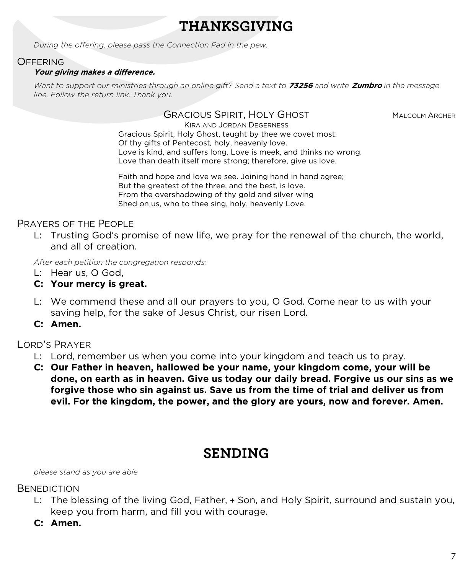# **THANKSGIVING**

*During the offering, please pass the Connection Pad in the pew.*

### **OFFERING**

#### **Your giving makes a difference.**

*Want to support our ministries through an online gift? Send a text to* **73256** *and write* **Zumbro** *in the message line. Follow the return link. Thank you.*

#### GRACIOUS SPIRIT, HOLY GHOST MALCOLM ARCHER

KIRA AND JORDAN DEGERNESS Gracious Spirit, Holy Ghost, taught by thee we covet most. Of thy gifts of Pentecost*,* holy, heavenly love. Love is kind, and suffers long. Love is meek, and thinks no wrong. Love than death itself more strong; therefore, give us love.

Faith and hope and love we see. Joining hand in hand agree; But the greatest of the three, and the best, is love. From the overshadowing of thy gold and silver wing Shed on us, who to thee sing, holy, heavenly Love.

### PRAYERS OF THE PEOPLE

L: Trusting God's promise of new life, we pray for the renewal of the church, the world, and all of creation.

*After each petition the congregation responds:*

- L: Hear us, O God,
- **C: Your mercy is great.**
- L: We commend these and all our prayers to you, O God. Come near to us with your saving help, for the sake of Jesus Christ, our risen Lord.
- **C: Amen.**

## LORD'S PRAYER

- L: Lord, remember us when you come into your kingdom and teach us to pray.
- **C: Our Father in heaven, hallowed be your name, your kingdom come, your will be done, on earth as in heaven. Give us today our daily bread. Forgive us our sins as we forgive those who sin against us. Save us from the time of trial and deliver us from evil. For the kingdom, the power, and the glory are yours, now and forever. Amen.**

# **SENDING**

*please stand as you are able*

#### **BENEDICTION**

- L: The blessing of the living God, Father, + Son, and Holy Spirit, surround and sustain you, keep you from harm, and fill you with courage.
- **C: Amen.**